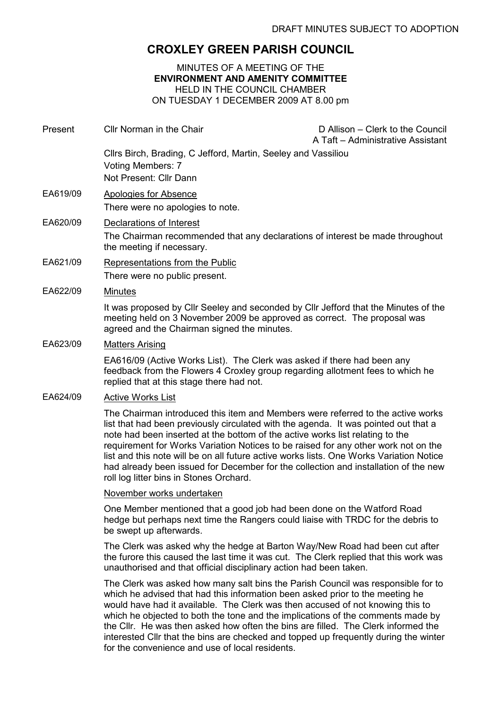## CROXLEY GREEN PARISH COUNCIL

MINUTES OF A MEETING OF THE ENVIRONMENT AND AMENITY COMMITTEE HELD IN THE COUNCIL CHAMBER ON TUESDAY 1 DECEMBER 2009 AT 8.00 pm

Present Cllr Norman in the Chair D Allison – Clerk to the Council A Taft – Administrative Assistant Cllrs Birch, Brading, C Jefford, Martin, Seeley and Vassiliou Voting Members: 7 Not Present: Cllr Dann EA619/09 Apologies for Absence There were no apologies to note. EA620/09 Declarations of Interest The Chairman recommended that any declarations of interest be made throughout the meeting if necessary. EA621/09 Representations from the Public There were no public present. EA622/09 Minutes It was proposed by Cllr Seeley and seconded by Cllr Jefford that the Minutes of the meeting held on 3 November 2009 be approved as correct. The proposal was agreed and the Chairman signed the minutes. EA623/09 Matters Arising EA616/09 (Active Works List). The Clerk was asked if there had been any feedback from the Flowers 4 Croxley group regarding allotment fees to which he replied that at this stage there had not. EA624/09 Active Works List The Chairman introduced this item and Members were referred to the active works list that had been previously circulated with the agenda. It was pointed out that a note had been inserted at the bottom of the active works list relating to the requirement for Works Variation Notices to be raised for any other work not on the list and this note will be on all future active works lists. One Works Variation Notice had already been issued for December for the collection and installation of the new roll log litter bins in Stones Orchard. November works undertaken One Member mentioned that a good job had been done on the Watford Road hedge but perhaps next time the Rangers could liaise with TRDC for the debris to be swept up afterwards. The Clerk was asked why the hedge at Barton Way/New Road had been cut after the furore this caused the last time it was cut. The Clerk replied that this work was unauthorised and that official disciplinary action had been taken. The Clerk was asked how many salt bins the Parish Council was responsible for to

which he advised that had this information been asked prior to the meeting he would have had it available. The Clerk was then accused of not knowing this to which he objected to both the tone and the implications of the comments made by the Cllr. He was then asked how often the bins are filled. The Clerk informed the interested Cllr that the bins are checked and topped up frequently during the winter for the convenience and use of local residents.